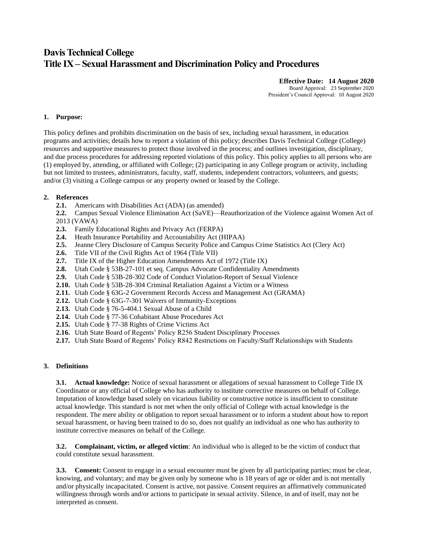# **Davis Technical College Title IX – Sexual Harassment and Discrimination Policy and Procedures**

**Effective Date: 14 August 2020** Board Approval: 23 September 2020

President's Council Approval: 10 August 2020

#### **1. Purpose:**

This policy defines and prohibits discrimination on the basis of sex, including sexual harassment, in education programs and activities; details how to report a violation of this policy; describes Davis Technical College (College) resources and supportive measures to protect those involved in the process; and outlines investigation, disciplinary, and due process procedures for addressing reported violations of this policy. This policy applies to all persons who are (1) employed by, attending, or affiliated with College; (2) participating in any College program or activity, including but not limited to trustees, administrators, faculty, staff, students, independent contractors, volunteers, and guests; and/or (3) visiting a College campus or any property owned or leased by the College.

## **2. References**

- **2.1.** Americans with Disabilities Act (ADA) (as amended)
- **2.2.** Campus Sexual Violence Elimination Act (SaVE)—Reauthorization of the Violence against Women Act of 2013 (VAWA)
- **2.3.** Family Educational Rights and Privacy Act (FERPA)
- **2.4.** Heath Insurance Portability and Accountability Act (HIPAA)
- **2.5.** Jeanne Clery Disclosure of Campus Security Police and Campus Crime Statistics Act (Clery Act)
- **2.6.** Title VII of the Civil Rights Act of 1964 (Title VII)
- **2.7.** Title IX of the Higher Education Amendments Act of 1972 (Title IX)
- **2.8.** Utah Code § 53B-27-101 et seq. Campus Advocate Confidentiality Amendments
- **2.9.** Utah Code § 53B-28-302 Code of Conduct Violation-Report of Sexual Violence
- **2.10.** Utah Code § 53B-28-304 Criminal Retaliation Against a Victim or a Witness
- **2.11.** Utah Code § 63G-2 Government Records Access and Management Act (GRAMA)
- **2.12.** Utah Code § 63G-7-301 Waivers of Immunity-Exceptions
- **2.13.** Utah Code § 76-5-404.1 Sexual Abuse of a Child
- **2.14.** Utah Code § 77-36 Cohabitant Abuse Procedures Act
- **2.15.** Utah Code § 77-38 Rights of Crime Victims Act
- **2.16.** Utah State Board of Regents' Policy R256 Student Disciplinary Processes
- **2.17.** Utah State Board of Regents' Policy R842 Restrictions on Faculty/Staff Relationships with Students

#### **3. Definitions**

**3.1. Actual knowledge:** Notice of sexual harassment or allegations of sexual harassment to College Title IX Coordinator or any official of College who has authority to institute corrective measures on behalf of College. Imputation of knowledge based solely on vicarious liability or constructive notice is insufficient to constitute actual knowledge. This standard is not met when the only official of College with actual knowledge is the respondent. The mere ability or obligation to report sexual harassment or to inform a student about how to report sexual harassment, or having been trained to do so, does not qualify an individual as one who has authority to institute corrective measures on behalf of the College.

**3.2. Complainant, victim, or alleged victim**: An individual who is alleged to be the victim of conduct that could constitute sexual harassment.

**3.3. Consent:** Consent to engage in a sexual encounter must be given by all participating parties; must be clear, knowing, and voluntary; and may be given only by someone who is 18 years of age or older and is not mentally and/or physically incapacitated. Consent is active, not passive. Consent requires an affirmatively communicated willingness through words and/or actions to participate in sexual activity. Silence, in and of itself, may not be interpreted as consent.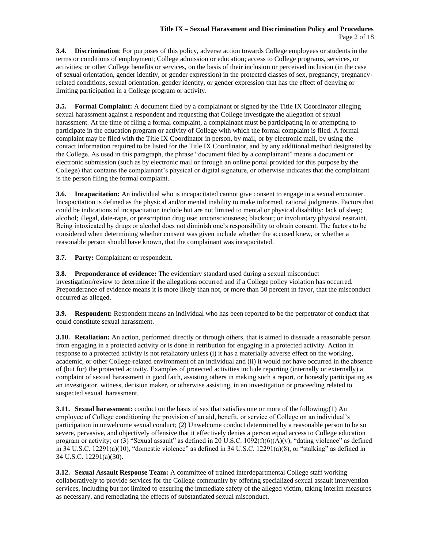#### **Title IX – Sexual Harassment and Discrimination Policy and Procedures** Page 2 of 18

**3.4. Discrimination**: For purposes of this policy, adverse action towards College employees or students in the terms or conditions of employment; College admission or education; access to College programs, services, or activities; or other College benefits or services, on the basis of their inclusion or perceived inclusion (in the case of sexual orientation, gender identity, or gender expression) in the protected classes of sex, pregnancy, pregnancyrelated conditions, sexual orientation, gender identity, or gender expression that has the effect of denying or limiting participation in a College program or activity.

**3.5. Formal Complaint:** A document filed by a complainant or signed by the Title IX Coordinator alleging sexual harassment against a respondent and requesting that College investigate the allegation of sexual harassment. At the time of filing a formal complaint, a complainant must be participating in or attempting to participate in the education program or activity of College with which the formal complaint is filed. A formal complaint may be filed with the Title IX Coordinator in person, by mail, or by electronic mail, by using the contact information required to be listed for the Title IX Coordinator, and by any additional method designated by the College. As used in this paragraph, the phrase "document filed by a complainant" means a document or electronic submission (such as by electronic mail or through an online portal provided for this purpose by the College) that contains the complainant's physical or digital signature, or otherwise indicates that the complainant is the person filing the formal complaint.

**3.6. Incapacitation:** An individual who is incapacitated cannot give consent to engage in a sexual encounter. Incapacitation is defined as the physical and/or mental inability to make informed, rational judgments. Factors that could be indications of incapacitation include but are not limited to mental or physical disability; lack of sleep; alcohol; illegal, date-rape, or prescription drug use; unconsciousness; blackout; or involuntary physical restraint. Being intoxicated by drugs or alcohol does not diminish one's responsibility to obtain consent. The factors to be considered when determining whether consent was given include whether the accused knew, or whether a reasonable person should have known, that the complainant was incapacitated.

**3.7. Party:** Complainant or respondent.

**3.8. Preponderance of evidence:** The evidentiary standard used during a sexual misconduct investigation/review to determine if the allegations occurred and if a College policy violation has occurred. Preponderance of evidence means it is more likely than not, or more than 50 percent in favor, that the misconduct occurred as alleged.

**3.9. Respondent:** Respondent means an individual who has been reported to be the perpetrator of conduct that could constitute sexual harassment.

**3.10. Retaliation:** An action, performed directly or through others, that is aimed to dissuade a reasonable person from engaging in a protected activity or is done in retribution for engaging in a protected activity. Action in response to a protected activity is not retaliatory unless (i) it has a materially adverse effect on the working, academic, or other College-related environment of an individual and (ii) it would not have occurred in the absence of (but for) the protected activity. Examples of protected activities include reporting (internally or externally) a complaint of sexual harassment in good faith, assisting others in making such a report, or honestly participating as an investigator, witness, decision maker, or otherwise assisting, in an investigation or proceeding related to suspected sexual harassment.

**3.11. Sexual harassment:** conduct on the basis of sex that satisfies one or more of the following:(1) An employee of College conditioning the provision of an aid, benefit, or service of College on an individual's participation in unwelcome sexual conduct; (2) Unwelcome conduct determined by a reasonable person to be so severe, pervasive, and objectively offensive that it effectively denies a person equal access to College education program or activity; or (3) "Sexual assault" as defined in 20 U.S.C.  $1092(f)(6)(A)(v)$ , "dating violence" as defined in 34 U.S.C. 12291(a)(10), "domestic violence" as defined in 34 U.S.C. 12291(a)(8), or "stalking" as defined in 34 U.S.C. 12291(a)(30).

**3.12. Sexual Assault Response Team:** A committee of trained interdepartmental College staff working collaboratively to provide services for the College community by offering specialized sexual assault intervention services, including but not limited to ensuring the immediate safety of the alleged victim, taking interim measures as necessary, and remediating the effects of substantiated sexual misconduct.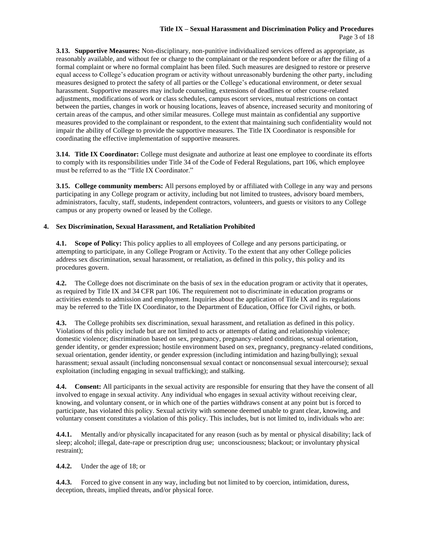## **Title IX – Sexual Harassment and Discrimination Policy and Procedures** Page 3 of 18

**3.13. Supportive Measures:** Non-disciplinary, non-punitive individualized services offered as appropriate, as reasonably available, and without fee or charge to the complainant or the respondent before or after the filing of a formal complaint or where no formal complaint has been filed. Such measures are designed to restore or preserve equal access to College's education program or activity without unreasonably burdening the other party, including measures designed to protect the safety of all parties or the College's educational environment, or deter sexual harassment. Supportive measures may include counseling, extensions of deadlines or other course-related adjustments, modifications of work or class schedules, campus escort services, mutual restrictions on contact between the parties, changes in work or housing locations, leaves of absence, increased security and monitoring of certain areas of the campus, and other similar measures. College must maintain as confidential any supportive measures provided to the complainant or respondent, to the extent that maintaining such confidentiality would not impair the ability of College to provide the supportive measures. The Title IX Coordinator is responsible for coordinating the effective implementation of supportive measures.

**3.14. Title IX Coordinator:** College must designate and authorize at least one employee to coordinate its efforts to comply with its responsibilities under Title 34 of the Code of Federal Regulations, part 106, which employee must be referred to as the "Title IX Coordinator."

**3.15. College community members:** All persons employed by or affiliated with College in any way and persons participating in any College program or activity, including but not limited to trustees, advisory board members, administrators, faculty, staff, students, independent contractors, volunteers, and guests or visitors to any College campus or any property owned or leased by the College.

## **4. Sex Discrimination, Sexual Harassment, and Retaliation Prohibited**

**4.1. Scope of Policy:** This policy applies to all employees of College and any persons participating, or attempting to participate, in any College Program or Activity. To the extent that any other College policies address sex discrimination, sexual harassment, or retaliation, as defined in this policy, this policy and its procedures govern.

**4.2.** The College does not discriminate on the basis of sex in the education program or activity that it operates, as required by Title IX and 34 CFR part 106. The requirement not to discriminate in education programs or activities extends to admission and employment. Inquiries about the application of Title IX and its regulations may be referred to the Title IX Coordinator, to the Department of Education, Office for Civil rights, or both.

**4.3.** The College prohibits sex discrimination, sexual harassment, and retaliation as defined in this policy. Violations of this policy include but are not limited to acts or attempts of dating and relationship violence; domestic violence; discrimination based on sex, pregnancy, pregnancy-related conditions, sexual orientation, gender identity, or gender expression; hostile environment based on sex, pregnancy, pregnancy-related conditions, sexual orientation, gender identity, or gender expression (including intimidation and hazing/bullying); sexual harassment; sexual assault (including nonconsensual sexual contact or nonconsensual sexual intercourse); sexual exploitation (including engaging in sexual trafficking); and stalking.

**4.4. Consent:** All participants in the sexual activity are responsible for ensuring that they have the consent of all involved to engage in sexual activity. Any individual who engages in sexual activity without receiving clear, knowing, and voluntary consent, or in which one of the parties withdraws consent at any point but is forced to participate, has violated this policy. Sexual activity with someone deemed unable to grant clear, knowing, and voluntary consent constitutes a violation of this policy. This includes, but is not limited to, individuals who are:

**4.4.1.** Mentally and/or physically incapacitated for any reason (such as by mental or physical disability; lack of sleep; alcohol; illegal, date-rape or prescription drug use; unconsciousness; blackout; or involuntary physical restraint);

**4.4.2.** Under the age of 18; or

**4.4.3.** Forced to give consent in any way, including but not limited to by coercion, intimidation, duress, deception, threats, implied threats, and/or physical force.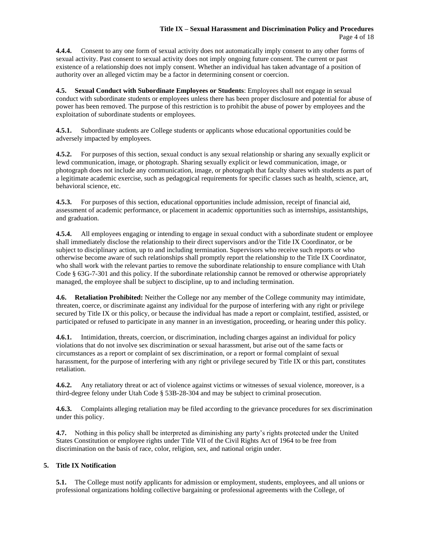**4.4.4.** Consent to any one form of sexual activity does not automatically imply consent to any other forms of sexual activity. Past consent to sexual activity does not imply ongoing future consent. The current or past existence of a relationship does not imply consent. Whether an individual has taken advantage of a position of authority over an alleged victim may be a factor in determining consent or coercion.

**4.5. Sexual Conduct with Subordinate Employees or Students**: Employees shall not engage in sexual conduct with subordinate students or employees unless there has been proper disclosure and potential for abuse of power has been removed. The purpose of this restriction is to prohibit the abuse of power by employees and the exploitation of subordinate students or employees.

**4.5.1.** Subordinate students are College students or applicants whose educational opportunities could be adversely impacted by employees.

**4.5.2.** For purposes of this section, sexual conduct is any sexual relationship or sharing any sexually explicit or lewd communication, image, or photograph. Sharing sexually explicit or lewd communication, image, or photograph does not include any communication, image, or photograph that faculty shares with students as part of a legitimate academic exercise, such as pedagogical requirements for specific classes such as health, science, art, behavioral science, etc.

**4.5.3.** For purposes of this section, educational opportunities include admission, receipt of financial aid, assessment of academic performance, or placement in academic opportunities such as internships, assistantships, and graduation.

**4.5.4.** All employees engaging or intending to engage in sexual conduct with a subordinate student or employee shall immediately disclose the relationship to their direct supervisors and/or the Title IX Coordinator, or be subject to disciplinary action, up to and including termination. Supervisors who receive such reports or who otherwise become aware of such relationships shall promptly report the relationship to the Title IX Coordinator, who shall work with the relevant parties to remove the subordinate relationship to ensure compliance with Utah Code § 63G-7-301 and this policy. If the subordinate relationship cannot be removed or otherwise appropriately managed, the employee shall be subject to discipline, up to and including termination.

**4.6. Retaliation Prohibited:** Neither the College nor any member of the College community may intimidate, threaten, coerce, or discriminate against any individual for the purpose of interfering with any right or privilege secured by Title IX or this policy, or because the individual has made a report or complaint, testified, assisted, or participated or refused to participate in any manner in an investigation, proceeding, or hearing under this policy.

**4.6.1.** Intimidation, threats, coercion, or discrimination, including charges against an individual for policy violations that do not involve sex discrimination or sexual harassment, but arise out of the same facts or circumstances as a report or complaint of sex discrimination, or a report or formal complaint of sexual harassment, for the purpose of interfering with any right or privilege secured by Title IX or this part, constitutes retaliation.

**4.6.2.** Any retaliatory threat or act of violence against victims or witnesses of sexual violence, moreover, is a third-degree felony under Utah Code § 53B-28-304 and may be subject to criminal prosecution.

**4.6.3.** Complaints alleging retaliation may be filed according to the grievance procedures for sex discrimination under this policy.

**4.7.** Nothing in this policy shall be interpreted as diminishing any party's rights protected under the United States Constitution or employee rights under Title VII of the Civil Rights Act of 1964 to be free from discrimination on the basis of race, color, religion, sex, and national origin under.

# **5. Title IX Notification**

**5.1.** The College must notify applicants for admission or employment, students, employees, and all unions or professional organizations holding collective bargaining or professional agreements with the College, of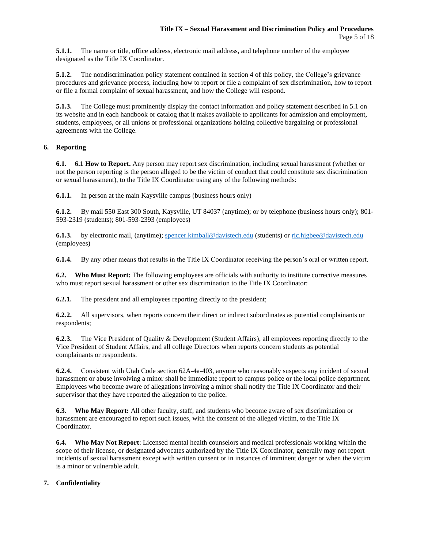**5.1.1.** The name or title, office address, electronic mail address, and telephone number of the employee designated as the Title IX Coordinator.

**5.1.2.** The nondiscrimination policy statement contained in section 4 of this policy, the College's grievance procedures and grievance process, including how to report or file a complaint of sex discrimination, how to report or file a formal complaint of sexual harassment, and how the College will respond.

**5.1.3.** The College must prominently display the contact information and policy statement described in 5.1 on its website and in each handbook or catalog that it makes available to applicants for admission and employment, students, employees, or all unions or professional organizations holding collective bargaining or professional agreements with the College.

# **6. Reporting**

**6.1. 6.1 How to Report.** Any person may report sex discrimination, including sexual harassment (whether or not the person reporting is the person alleged to be the victim of conduct that could constitute sex discrimination or sexual harassment), to the Title IX Coordinator using any of the following methods:

**6.1.1.** In person at the main Kaysville campus (business hours only)

**6.1.2.** By mail 550 East 300 South, Kaysville, UT 84037 (anytime); or by telephone (business hours only); 801- 593-2319 (students); 801-593-2393 (employees)

**6.1.3.** by electronic mail, (anytime); [spencer.kimball@davistech.edu](mailto:spencer.kimball@davistech.edu) (students) or [ric.higbee@davistech.edu](mailto:ric.higbee@davistech.edu) (employees)

**6.1.4.** By any other means that results in the Title IX Coordinator receiving the person's oral or written report.

**6.2. Who Must Report:** The following employees are officials with authority to institute corrective measures who must report sexual harassment or other sex discrimination to the Title IX Coordinator:

**6.2.1.** The president and all employees reporting directly to the president;

**6.2.2.** All supervisors, when reports concern their direct or indirect subordinates as potential complainants or respondents;

**6.2.3.** The Vice President of Quality & Development (Student Affairs), all employees reporting directly to the Vice President of Student Affairs, and all college Directors when reports concern students as potential complainants or respondents.

**6.2.4.** Consistent with Utah Code section 62A-4a-403, anyone who reasonably suspects any incident of sexual harassment or abuse involving a minor shall be immediate report to campus police or the local police department. Employees who become aware of allegations involving a minor shall notify the Title IX Coordinator and their supervisor that they have reported the allegation to the police.

**6.3. Who May Report:** All other faculty, staff, and students who become aware of sex discrimination or harassment are encouraged to report such issues, with the consent of the alleged victim, to the Title IX Coordinator.

**6.4. Who May Not Report**: Licensed mental health counselors and medical professionals working within the scope of their license, or designated advocates authorized by the Title IX Coordinator, generally may not report incidents of sexual harassment except with written consent or in instances of imminent danger or when the victim is a minor or vulnerable adult.

# **7. Confidentiality**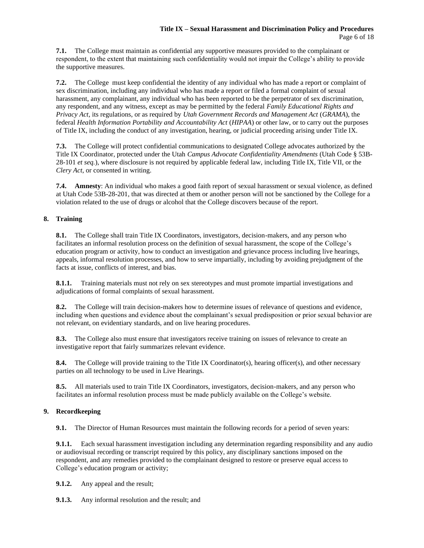**7.1.** The College must maintain as confidential any supportive measures provided to the complainant or respondent, to the extent that maintaining such confidentiality would not impair the College's ability to provide the supportive measures.

**7.2.** The College must keep confidential the identity of any individual who has made a report or complaint of sex discrimination, including any individual who has made a report or filed a formal complaint of sexual harassment, any complainant, any individual who has been reported to be the perpetrator of sex discrimination, any respondent, and any witness, except as may be permitted by the federal *Family Educational Rights and Privacy Act*, its regulations, or as required by *Utah Government Records and Management Act* (*GRAMA*), the federal *Health Information Portability and Accountability Act* (*HIPAA*) or other law, or to carry out the purposes of Title IX, including the conduct of any investigation, hearing, or judicial proceeding arising under Title IX.

**7.3.** The College will protect confidential communications to designated College advocates authorized by the Title IX Coordinator, protected under the Utah *Campus Advocate Confidentiality Amendments* (Utah Code § 53B-28-101 *et seq.*), where disclosure is not required by applicable federal law, including Title IX, Title VII, or the *Clery Act*, or consented in writing*.* 

**7.4. Amnesty**: An individual who makes a good faith report of sexual harassment or sexual violence, as defined at Utah Code 53B-28-201, that was directed at them or another person will not be sanctioned by the College for a violation related to the use of drugs or alcohol that the College discovers because of the report.

# **8. Training**

**8.1.** The College shall train Title IX Coordinators, investigators, decision-makers, and any person who facilitates an informal resolution process on the definition of sexual harassment, the scope of the College's education program or activity, how to conduct an investigation and grievance process including live hearings, appeals, informal resolution processes, and how to serve impartially, including by avoiding prejudgment of the facts at issue, conflicts of interest, and bias.

**8.1.1.** Training materials must not rely on sex stereotypes and must promote impartial investigations and adjudications of formal complaints of sexual harassment.

**8.2.** The College will train decision-makers how to determine issues of relevance of questions and evidence, including when questions and evidence about the complainant's sexual predisposition or prior sexual behavior are not relevant, on evidentiary standards, and on live hearing procedures.

**8.3.** The College also must ensure that investigators receive training on issues of relevance to create an investigative report that fairly summarizes relevant evidence.

**8.4.** The College will provide training to the Title IX Coordinator(s), hearing officer(s), and other necessary parties on all technology to be used in Live Hearings.

**8.5.** All materials used to train Title IX Coordinators, investigators, decision-makers, and any person who facilitates an informal resolution process must be made publicly available on the College's website.

# **9. Recordkeeping**

**9.1.** The Director of Human Resources must maintain the following records for a period of seven years:

**9.1.1.** Each sexual harassment investigation including any determination regarding responsibility and any audio or audiovisual recording or transcript required by this policy, any disciplinary sanctions imposed on the respondent, and any remedies provided to the complainant designed to restore or preserve equal access to College's education program or activity;

**9.1.2.** Any appeal and the result;

**9.1.3.** Any informal resolution and the result; and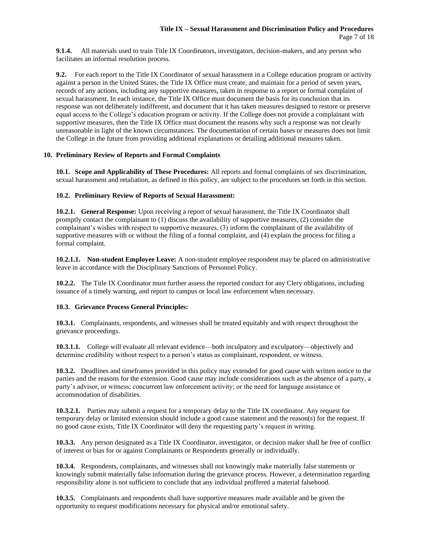**9.1.4.** All materials used to train Title IX Coordinators, investigators, decision-makers, and any person who facilitates an informal resolution process.

**9.2.** For each report to the Title IX Coordinator of sexual harassment in a College education program or activity against a person in the United States, the Title IX Office must create, and maintain for a period of seven years, records of any actions, including any supportive measures, taken in response to a report or formal complaint of sexual harassment. In each instance, the Title IX Office must document the basis for its conclusion that its response was not deliberately indifferent, and document that it has taken measures designed to restore or preserve equal access to the College's education program or activity. If the College does not provide a complainant with supportive measures, then the Title IX Office must document the reasons why such a response was not clearly unreasonable in light of the known circumstances. The documentation of certain bases or measures does not limit the College in the future from providing additional explanations or detailing additional measures taken.

#### **10. Preliminary Review of Reports and Formal Complaints**

**10.1. Scope and Applicability of These Procedures:** All reports and formal complaints of sex discrimination, sexual harassment and retaliation, as defined in this policy, are subject to the procedures set forth in this section.

## **10.2. Preliminary Review of Reports of Sexual Harassment:**

**10.2.1. General Response:** Upon receiving a report of sexual harassment, the Title IX Coordinator shall promptly contact the complainant to (1) discuss the availability of supportive measures, (2) consider the complainant's wishes with respect to supportive measures, (3) inform the complainant of the availability of supportive measures with or without the filing of a formal complaint, and (4) explain the process for filing a formal complaint.

**10.2.1.1. Non-student Employee Leave:** A non-student employee respondent may be placed on administrative leave in accordance with the Disciplinary Sanctions of Personnel Policy.

**10.2.2.** The Title IX Coordinator must further assess the reported conduct for any Clery obligations, including issuance of a timely warning, and report to campus or local law enforcement when necessary.

#### **10.3. Grievance Process General Principles:**

**10.3.1.** Complainants, respondents, and witnesses shall be treated equitably and with respect throughout the grievance proceedings.

**10.3.1.1.** College will evaluate all relevant evidence—both inculpatory and exculpatory—objectively and determine credibility without respect to a person's status as complainant, respondent, or witness.

**10.3.2.** Deadlines and timeframes provided in this policy may extended for good cause with written notice to the parties and the reasons for the extension. Good cause may include considerations such as the absence of a party, a party's advisor, or witness; concurrent law enforcement activity; or the need for language assistance or accommodation of disabilities.

**10.3.2.1.** Parties may submit a request for a temporary delay to the Title IX coordinator. Any request for temporary delay or limited extension should include a good cause statement and the reason(s) for the request. If no good cause exists, Title IX Coordinator will deny the requesting party's request in writing.

**10.3.3.** Any person designated as a Title IX Coordinator, investigator, or decision maker shall be free of conflict of interest or bias for or against Complainants or Respondents generally or individually.

**10.3.4.** Respondents, complainants, and witnesses shall not knowingly make materially false statements or knowingly submit materially false information during the grievance process. However, a determination regarding responsibility alone is not sufficient to conclude that any individual proffered a material falsehood.

**10.3.5.** Complainants and respondents shall have supportive measures made available and be given the opportunity to request modifications necessary for physical and/or emotional safety.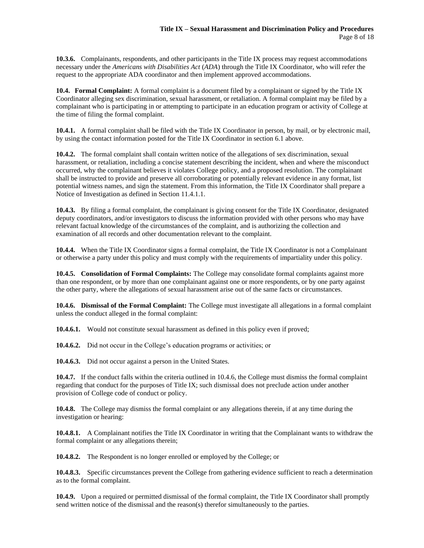**10.3.6.** Complainants, respondents, and other participants in the Title IX process may request accommodations necessary under the *Americans with Disabilities Act* (*ADA*) through the Title IX Coordinator, who will refer the request to the appropriate ADA coordinator and then implement approved accommodations.

**10.4. Formal Complaint:** A formal complaint is a document filed by a complainant or signed by the Title IX Coordinator alleging sex discrimination, sexual harassment, or retaliation. A formal complaint may be filed by a complainant who is participating in or attempting to participate in an education program or activity of College at the time of filing the formal complaint.

**10.4.1.** A formal complaint shall be filed with the Title IX Coordinator in person, by mail, or by electronic mail, by using the contact information posted for the Title IX Coordinator in section 6.1 above.

**10.4.2.** The formal complaint shall contain written notice of the allegations of sex discrimination, sexual harassment, or retaliation, including a concise statement describing the incident, when and where the misconduct occurred, why the complainant believes it violates College policy, and a proposed resolution. The complainant shall be instructed to provide and preserve all corroborating or potentially relevant evidence in any format, list potential witness names, and sign the statement. From this information, the Title IX Coordinator shall prepare a Notice of Investigation as defined in Section 11.4.1.1.

**10.4.3.** By filing a formal complaint, the complainant is giving consent for the Title IX Coordinator, designated deputy coordinators, and/or investigators to discuss the information provided with other persons who may have relevant factual knowledge of the circumstances of the complaint, and is authorizing the collection and examination of all records and other documentation relevant to the complaint.

**10.4.4.** When the Title IX Coordinator signs a formal complaint, the Title IX Coordinator is not a Complainant or otherwise a party under this policy and must comply with the requirements of impartiality under this policy.

**10.4.5. Consolidation of Formal Complaints:** The College may consolidate formal complaints against more than one respondent, or by more than one complainant against one or more respondents, or by one party against the other party, where the allegations of sexual harassment arise out of the same facts or circumstances.

**10.4.6. Dismissal of the Formal Complaint:** The College must investigate all allegations in a formal complaint unless the conduct alleged in the formal complaint:

**10.4.6.1.** Would not constitute sexual harassment as defined in this policy even if proved;

**10.4.6.2.** Did not occur in the College's education programs or activities; or

**10.4.6.3.** Did not occur against a person in the United States.

**10.4.7.** If the conduct falls within the criteria outlined in 10.4.6, the College must dismiss the formal complaint regarding that conduct for the purposes of Title IX; such dismissal does not preclude action under another provision of College code of conduct or policy.

**10.4.8.** The College may dismiss the formal complaint or any allegations therein, if at any time during the investigation or hearing:

**10.4.8.1.** A Complainant notifies the Title IX Coordinator in writing that the Complainant wants to withdraw the formal complaint or any allegations therein;

**10.4.8.2.** The Respondent is no longer enrolled or employed by the College; or

**10.4.8.3.** Specific circumstances prevent the College from gathering evidence sufficient to reach a determination as to the formal complaint.

**10.4.9.** Upon a required or permitted dismissal of the formal complaint, the Title IX Coordinator shall promptly send written notice of the dismissal and the reason(s) therefor simultaneously to the parties.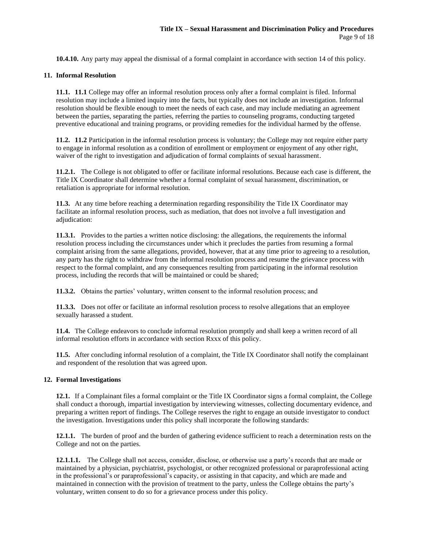**10.4.10.** Any party may appeal the dismissal of a formal complaint in accordance with section 14 of this policy.

## **11. Informal Resolution**

**11.1. 11.1** College may offer an informal resolution process only after a formal complaint is filed. Informal resolution may include a limited inquiry into the facts, but typically does not include an investigation. Informal resolution should be flexible enough to meet the needs of each case, and may include mediating an agreement between the parties, separating the parties, referring the parties to counseling programs, conducting targeted preventive educational and training programs, or providing remedies for the individual harmed by the offense.

**11.2. 11.2** Participation in the informal resolution process is voluntary; the College may not require either party to engage in informal resolution as a condition of enrollment or employment or enjoyment of any other right, waiver of the right to investigation and adjudication of formal complaints of sexual harassment.

**11.2.1.** The College is not obligated to offer or facilitate informal resolutions. Because each case is different, the Title IX Coordinator shall determine whether a formal complaint of sexual harassment, discrimination, or retaliation is appropriate for informal resolution.

**11.3.** At any time before reaching a determination regarding responsibility the Title IX Coordinator may facilitate an informal resolution process, such as mediation, that does not involve a full investigation and adjudication:

**11.3.1.** Provides to the parties a written notice disclosing: the allegations, the requirements the informal resolution process including the circumstances under which it precludes the parties from resuming a formal complaint arising from the same allegations, provided, however, that at any time prior to agreeing to a resolution, any party has the right to withdraw from the informal resolution process and resume the grievance process with respect to the formal complaint, and any consequences resulting from participating in the informal resolution process, including the records that will be maintained or could be shared;

**11.3.2.** Obtains the parties' voluntary, written consent to the informal resolution process; and

**11.3.3.** Does not offer or facilitate an informal resolution process to resolve allegations that an employee sexually harassed a student.

**11.4.** The College endeavors to conclude informal resolution promptly and shall keep a written record of all informal resolution efforts in accordance with section Rxxx of this policy.

**11.5.** After concluding informal resolution of a complaint, the Title IX Coordinator shall notify the complainant and respondent of the resolution that was agreed upon.

#### **12. Formal Investigations**

**12.1.** If a Complainant files a formal complaint or the Title IX Coordinator signs a formal complaint, the College shall conduct a thorough, impartial investigation by interviewing witnesses, collecting documentary evidence, and preparing a written report of findings. The College reserves the right to engage an outside investigator to conduct the investigation. Investigations under this policy shall incorporate the following standards:

**12.1.1.** The burden of proof and the burden of gathering evidence sufficient to reach a determination rests on the College and not on the parties.

**12.1.1.1.** The College shall not access, consider, disclose, or otherwise use a party's records that are made or maintained by a physician, psychiatrist, psychologist, or other recognized professional or paraprofessional acting in the professional's or paraprofessional's capacity, or assisting in that capacity, and which are made and maintained in connection with the provision of treatment to the party, unless the College obtains the party's voluntary, written consent to do so for a grievance process under this policy.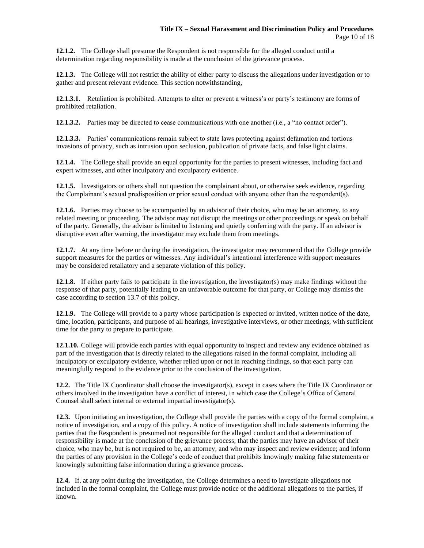**12.1.2.** The College shall presume the Respondent is not responsible for the alleged conduct until a determination regarding responsibility is made at the conclusion of the grievance process.

**12.1.3.** The College will not restrict the ability of either party to discuss the allegations under investigation or to gather and present relevant evidence. This section notwithstanding,

**12.1.3.1.** Retaliation is prohibited. Attempts to alter or prevent a witness's or party's testimony are forms of prohibited retaliation.

**12.1.3.2.** Parties may be directed to cease communications with one another (i.e., a "no contact order").

**12.1.3.3.** Parties' communications remain subject to state laws protecting against defamation and tortious invasions of privacy, such as intrusion upon seclusion, publication of private facts, and false light claims.

**12.1.4.** The College shall provide an equal opportunity for the parties to present witnesses, including fact and expert witnesses, and other inculpatory and exculpatory evidence.

**12.1.5.** Investigators or others shall not question the complainant about, or otherwise seek evidence, regarding the Complainant's sexual predisposition or prior sexual conduct with anyone other than the respondent(s).

**12.1.6.** Parties may choose to be accompanied by an advisor of their choice, who may be an attorney, to any related meeting or proceeding. The advisor may not disrupt the meetings or other proceedings or speak on behalf of the party. Generally, the advisor is limited to listening and quietly conferring with the party. If an advisor is disruptive even after warning, the investigator may exclude them from meetings.

**12.1.7.** At any time before or during the investigation, the investigator may recommend that the College provide support measures for the parties or witnesses. Any individual's intentional interference with support measures may be considered retaliatory and a separate violation of this policy.

**12.1.8.** If either party fails to participate in the investigation, the investigator(s) may make findings without the response of that party, potentially leading to an unfavorable outcome for that party, or College may dismiss the case according to section 13.7 of this policy.

**12.1.9.** The College will provide to a party whose participation is expected or invited, written notice of the date, time, location, participants, and purpose of all hearings, investigative interviews, or other meetings, with sufficient time for the party to prepare to participate.

**12.1.10.** College will provide each parties with equal opportunity to inspect and review any evidence obtained as part of the investigation that is directly related to the allegations raised in the formal complaint, including all inculpatory or exculpatory evidence, whether relied upon or not in reaching findings, so that each party can meaningfully respond to the evidence prior to the conclusion of the investigation.

**12.2.** The Title IX Coordinator shall choose the investigator(s), except in cases where the Title IX Coordinator or others involved in the investigation have a conflict of interest, in which case the College's Office of General Counsel shall select internal or external impartial investigator(s).

**12.3.** Upon initiating an investigation, the College shall provide the parties with a copy of the formal complaint, a notice of investigation, and a copy of this policy. A notice of investigation shall include statements informing the parties that the Respondent is presumed not responsible for the alleged conduct and that a determination of responsibility is made at the conclusion of the grievance process; that the parties may have an advisor of their choice, who may be, but is not required to be, an attorney, and who may inspect and review evidence; and inform the parties of any provision in the College's code of conduct that prohibits knowingly making false statements or knowingly submitting false information during a grievance process.

**12.4.** If, at any point during the investigation, the College determines a need to investigate allegations not included in the formal complaint, the College must provide notice of the additional allegations to the parties, if known.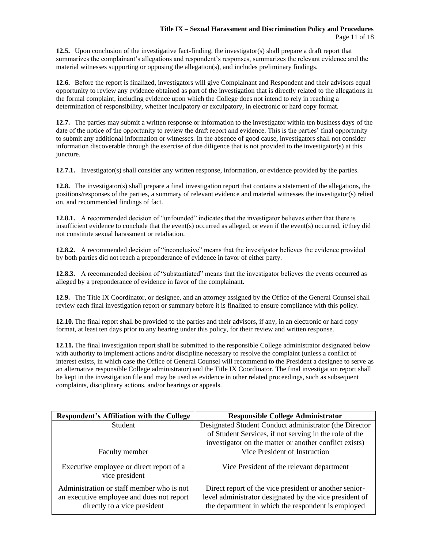**12.5.** Upon conclusion of the investigative fact-finding, the investigator(s) shall prepare a draft report that summarizes the complainant's allegations and respondent's responses, summarizes the relevant evidence and the material witnesses supporting or opposing the allegation(s), and includes preliminary findings.

**12.6.** Before the report is finalized, investigators will give Complainant and Respondent and their advisors equal opportunity to review any evidence obtained as part of the investigation that is directly related to the allegations in the formal complaint, including evidence upon which the College does not intend to rely in reaching a determination of responsibility, whether inculpatory or exculpatory, in electronic or hard copy format.

**12.7.** The parties may submit a written response or information to the investigator within ten business days of the date of the notice of the opportunity to review the draft report and evidence. This is the parties' final opportunity to submit any additional information or witnesses. In the absence of good cause, investigators shall not consider information discoverable through the exercise of due diligence that is not provided to the investigator(s) at this juncture.

**12.7.1.** Investigator(s) shall consider any written response, information, or evidence provided by the parties.

**12.8.** The investigator(s) shall prepare a final investigation report that contains a statement of the allegations, the positions/responses of the parties, a summary of relevant evidence and material witnesses the investigator(s) relied on, and recommended findings of fact.

**12.8.1.** A recommended decision of "unfounded" indicates that the investigator believes either that there is insufficient evidence to conclude that the event(s) occurred as alleged, or even if the event(s) occurred, it/they did not constitute sexual harassment or retaliation.

**12.8.2.** A recommended decision of "inconclusive" means that the investigator believes the evidence provided by both parties did not reach a preponderance of evidence in favor of either party.

**12.8.3.** A recommended decision of "substantiated" means that the investigator believes the events occurred as alleged by a preponderance of evidence in favor of the complainant.

**12.9.** The Title IX Coordinator, or designee, and an attorney assigned by the Office of the General Counsel shall review each final investigation report or summary before it is finalized to ensure compliance with this policy.

**12.10.** The final report shall be provided to the parties and their advisors, if any, in an electronic or hard copy format, at least ten days prior to any hearing under this policy, for their review and written response.

**12.11.** The final investigation report shall be submitted to the responsible College administrator designated below with authority to implement actions and/or discipline necessary to resolve the complaint (unless a conflict of interest exists, in which case the Office of General Counsel will recommend to the President a designee to serve as an alternative responsible College administrator) and the Title IX Coordinator. The final investigation report shall be kept in the investigation file and may be used as evidence in other related proceedings, such as subsequent complaints, disciplinary actions, and/or hearings or appeals.

| <b>Respondent's Affiliation with the College</b>                                                                       | <b>Responsible College Administrator</b>                                                                                                                                |
|------------------------------------------------------------------------------------------------------------------------|-------------------------------------------------------------------------------------------------------------------------------------------------------------------------|
| Student                                                                                                                | Designated Student Conduct administrator (the Director                                                                                                                  |
|                                                                                                                        | of Student Services, if not serving in the role of the                                                                                                                  |
|                                                                                                                        | investigator on the matter or another conflict exists)                                                                                                                  |
| Faculty member                                                                                                         | Vice President of Instruction                                                                                                                                           |
| Executive employee or direct report of a<br>vice president                                                             | Vice President of the relevant department                                                                                                                               |
| Administration or staff member who is not<br>an executive employee and does not report<br>directly to a vice president | Direct report of the vice president or another senior-<br>level administrator designated by the vice president of<br>the department in which the respondent is employed |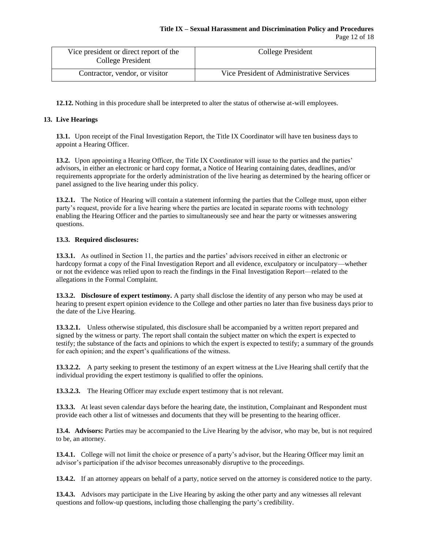| Vice president or direct report of the<br>College President | College President                         |
|-------------------------------------------------------------|-------------------------------------------|
| Contractor, vendor, or visitor                              | Vice President of Administrative Services |

**12.12.** Nothing in this procedure shall be interpreted to alter the status of otherwise at-will employees.

## **13. Live Hearings**

**13.1.** Upon receipt of the Final Investigation Report, the Title IX Coordinator will have ten business days to appoint a Hearing Officer.

**13.2.** Upon appointing a Hearing Officer, the Title IX Coordinator will issue to the parties and the parties' advisors, in either an electronic or hard copy format, a Notice of Hearing containing dates, deadlines, and/or requirements appropriate for the orderly administration of the live hearing as determined by the hearing officer or panel assigned to the live hearing under this policy.

**13.2.1.** The Notice of Hearing will contain a statement informing the parties that the College must, upon either party's request, provide for a live hearing where the parties are located in separate rooms with technology enabling the Hearing Officer and the parties to simultaneously see and hear the party or witnesses answering questions.

#### **13.3. Required disclosures:**

**13.3.1.** As outlined in Section 11, the parties and the parties' advisors received in either an electronic or hardcopy format a copy of the Final Investigation Report and all evidence, exculpatory or inculpatory—whether or not the evidence was relied upon to reach the findings in the Final Investigation Report—related to the allegations in the Formal Complaint.

**13.3.2. Disclosure of expert testimony.** A party shall disclose the identity of any person who may be used at hearing to present expert opinion evidence to the College and other parties no later than five business days prior to the date of the Live Hearing.

**13.3.2.1.** Unless otherwise stipulated, this disclosure shall be accompanied by a written report prepared and signed by the witness or party. The report shall contain the subject matter on which the expert is expected to testify; the substance of the facts and opinions to which the expert is expected to testify; a summary of the grounds for each opinion; and the expert's qualifications of the witness.

**13.3.2.2.** A party seeking to present the testimony of an expert witness at the Live Hearing shall certify that the individual providing the expert testimony is qualified to offer the opinions.

**13.3.2.3.** The Hearing Officer may exclude expert testimony that is not relevant.

**13.3.3.** At least seven calendar days before the hearing date, the institution, Complainant and Respondent must provide each other a list of witnesses and documents that they will be presenting to the hearing officer.

**13.4. Advisors:** Parties may be accompanied to the Live Hearing by the advisor, who may be, but is not required to be, an attorney.

**13.4.1.** College will not limit the choice or presence of a party's advisor, but the Hearing Officer may limit an advisor's participation if the advisor becomes unreasonably disruptive to the proceedings.

**13.4.2.** If an attorney appears on behalf of a party, notice served on the attorney is considered notice to the party.

**13.4.3.** Advisors may participate in the Live Hearing by asking the other party and any witnesses all relevant questions and follow-up questions, including those challenging the party's credibility.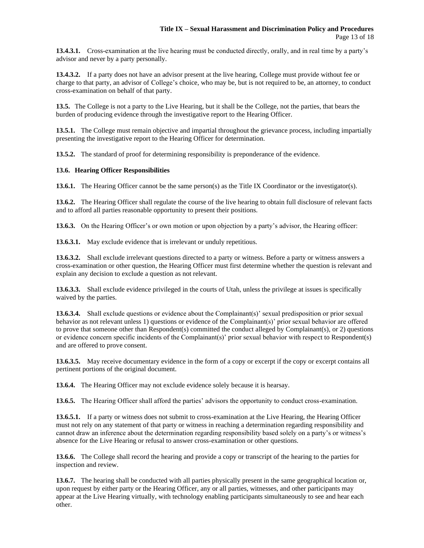**13.4.3.1.** Cross-examination at the live hearing must be conducted directly, orally, and in real time by a party's advisor and never by a party personally.

**13.4.3.2.** If a party does not have an advisor present at the live hearing, College must provide without fee or charge to that party, an advisor of College's choice, who may be, but is not required to be, an attorney, to conduct cross-examination on behalf of that party.

**13.5.** The College is not a party to the Live Hearing, but it shall be the College, not the parties, that bears the burden of producing evidence through the investigative report to the Hearing Officer.

**13.5.1.** The College must remain objective and impartial throughout the grievance process, including impartially presenting the investigative report to the Hearing Officer for determination.

**13.5.2.** The standard of proof for determining responsibility is preponderance of the evidence.

#### **13.6. Hearing Officer Responsibilities**

**13.6.1.** The Hearing Officer cannot be the same person(s) as the Title IX Coordinator or the investigator(s).

**13.6.2.** The Hearing Officer shall regulate the course of the live hearing to obtain full disclosure of relevant facts and to afford all parties reasonable opportunity to present their positions.

**13.6.3.** On the Hearing Officer's or own motion or upon objection by a party's advisor, the Hearing officer:

**13.6.3.1.** May exclude evidence that is irrelevant or unduly repetitious.

**13.6.3.2.** Shall exclude irrelevant questions directed to a party or witness. Before a party or witness answers a cross-examination or other question, the Hearing Officer must first determine whether the question is relevant and explain any decision to exclude a question as not relevant.

**13.6.3.3.** Shall exclude evidence privileged in the courts of Utah, unless the privilege at issues is specifically waived by the parties.

**13.6.3.4.** Shall exclude questions or evidence about the Complainant(s)' sexual predisposition or prior sexual behavior as not relevant unless 1) questions or evidence of the Complainant(s)' prior sexual behavior are offered to prove that someone other than Respondent(s) committed the conduct alleged by Complainant(s), or 2) questions or evidence concern specific incidents of the Complainant(s)' prior sexual behavior with respect to Respondent(s) and are offered to prove consent.

**13.6.3.5.** May receive documentary evidence in the form of a copy or excerpt if the copy or excerpt contains all pertinent portions of the original document.

**13.6.4.** The Hearing Officer may not exclude evidence solely because it is hearsay.

**13.6.5.** The Hearing Officer shall afford the parties' advisors the opportunity to conduct cross-examination.

**13.6.5.1.** If a party or witness does not submit to cross-examination at the Live Hearing, the Hearing Officer must not rely on any statement of that party or witness in reaching a determination regarding responsibility and cannot draw an inference about the determination regarding responsibility based solely on a party's or witness's absence for the Live Hearing or refusal to answer cross-examination or other questions.

**13.6.6.** The College shall record the hearing and provide a copy or transcript of the hearing to the parties for inspection and review.

**13.6.7.** The hearing shall be conducted with all parties physically present in the same geographical location or, upon request by either party or the Hearing Officer, any or all parties, witnesses, and other participants may appear at the Live Hearing virtually, with technology enabling participants simultaneously to see and hear each other.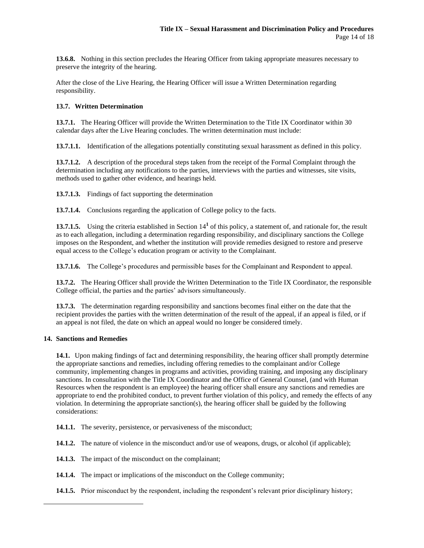**13.6.8.** Nothing in this section precludes the Hearing Officer from taking appropriate measures necessary to preserve the integrity of the hearing.

After the close of the Live Hearing, the Hearing Officer will issue a Written Determination regarding responsibility.

#### **13.7. Written Determination**

13.7.1. The Hearing Officer will provide the Written Determination to the Title IX Coordinator within 30 calendar days after the Live Hearing concludes. The written determination must include:

**13.7.1.1.** Identification of the allegations potentially constituting sexual harassment as defined in this policy.

**13.7.1.2.** A description of the procedural steps taken from the receipt of the Formal Complaint through the determination including any notifications to the parties, interviews with the parties and witnesses, site visits, methods used to gather other evidence, and hearings held.

**13.7.1.3.** Findings of fact supporting the determination

**13.7.1.4.** Conclusions regarding the application of College policy to the facts.

**13.7.1.5.** Using the criteria established in Section 14**<sup>1</sup>** of this policy, a statement of, and rationale for, the result as to each allegation, including a determination regarding responsibility, and disciplinary sanctions the College imposes on the Respondent, and whether the institution will provide remedies designed to restore and preserve equal access to the College's education program or activity to the Complainant.

**13.7.1.6.** The College's procedures and permissible bases for the Complainant and Respondent to appeal.

**13.7.2.** The Hearing Officer shall provide the Written Determination to the Title IX Coordinator, the responsible College official, the parties and the parties' advisors simultaneously.

**13.7.3.** The determination regarding responsibility and sanctions becomes final either on the date that the recipient provides the parties with the written determination of the result of the appeal, if an appeal is filed, or if an appeal is not filed, the date on which an appeal would no longer be considered timely.

#### **14. Sanctions and Remedies**

**14.1.** Upon making findings of fact and determining responsibility, the hearing officer shall promptly determine the appropriate sanctions and remedies, including offering remedies to the complainant and/or College community, implementing changes in programs and activities, providing training, and imposing any disciplinary sanctions. In consultation with the Title IX Coordinator and the Office of General Counsel, (and with Human Resources when the respondent is an employee) the hearing officer shall ensure any sanctions and remedies are appropriate to end the prohibited conduct, to prevent further violation of this policy, and remedy the effects of any violation. In determining the appropriate sanction(s), the hearing officer shall be guided by the following considerations:

14.1.1. The severity, persistence, or pervasiveness of the misconduct;

**14.1.2.** The nature of violence in the misconduct and/or use of weapons, drugs, or alcohol (if applicable);

- **14.1.3.** The impact of the misconduct on the complainant;
- **14.1.4.** The impact or implications of the misconduct on the College community;
- **14.1.5.** Prior misconduct by the respondent, including the respondent's relevant prior disciplinary history;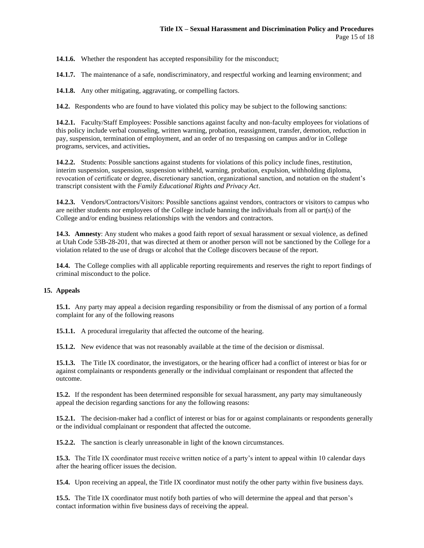**14.1.6.** Whether the respondent has accepted responsibility for the misconduct;

**14.1.7.** The maintenance of a safe, nondiscriminatory, and respectful working and learning environment; and

**14.1.8.** Any other mitigating, aggravating, or compelling factors.

**14.2.** Respondents who are found to have violated this policy may be subject to the following sanctions:

**14.2.1.** Faculty/Staff Employees: Possible sanctions against faculty and non-faculty employees for violations of this policy include verbal counseling, written warning, probation, reassignment, transfer, demotion, reduction in pay, suspension, termination of employment, and an order of no trespassing on campus and/or in College programs, services, and activities**.** 

**14.2.2.** Students: Possible sanctions against students for violations of this policy include fines, restitution, interim suspension, suspension, suspension withheld, warning, probation, expulsion, withholding diploma, revocation of certificate or degree, discretionary sanction, organizational sanction, and notation on the student's transcript consistent with the *Family Educational Rights and Privacy Act*.

**14.2.3.** Vendors/Contractors/Visitors: Possible sanctions against vendors, contractors or visitors to campus who are neither students nor employees of the College include banning the individuals from all or part(s) of the College and/or ending business relationships with the vendors and contractors.

**14.3. Amnesty**: Any student who makes a good faith report of sexual harassment or sexual violence, as defined at Utah Code 53B-28-201, that was directed at them or another person will not be sanctioned by the College for a violation related to the use of drugs or alcohol that the College discovers because of the report.

**14.4.** The College complies with all applicable reporting requirements and reserves the right to report findings of criminal misconduct to the police.

#### **15. Appeals**

**15.1.** Any party may appeal a decision regarding responsibility or from the dismissal of any portion of a formal complaint for any of the following reasons

**15.1.1.** A procedural irregularity that affected the outcome of the hearing.

**15.1.2.** New evidence that was not reasonably available at the time of the decision or dismissal.

**15.1.3.** The Title IX coordinator, the investigators, or the hearing officer had a conflict of interest or bias for or against complainants or respondents generally or the individual complainant or respondent that affected the outcome.

**15.2.** If the respondent has been determined responsible for sexual harassment, any party may simultaneously appeal the decision regarding sanctions for any the following reasons:

**15.2.1.** The decision-maker had a conflict of interest or bias for or against complainants or respondents generally or the individual complainant or respondent that affected the outcome.

**15.2.2.** The sanction is clearly unreasonable in light of the known circumstances.

**15.3.** The Title IX coordinator must receive written notice of a party's intent to appeal within 10 calendar days after the hearing officer issues the decision.

**15.4.** Upon receiving an appeal, the Title IX coordinator must notify the other party within five business days.

**15.5.** The Title IX coordinator must notify both parties of who will determine the appeal and that person's contact information within five business days of receiving the appeal.